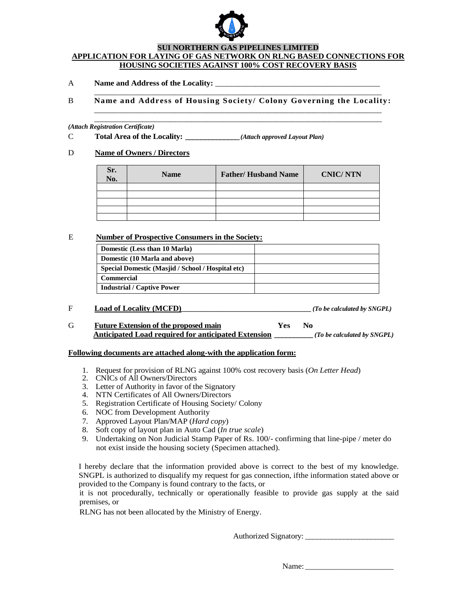

### **SUI NORTHERN GAS PIPELINES LIMITED**

#### **APPLICATION FOR LAYING OF GAS NETWORK ON RLNG BASED CONNECTIONS FOR HOUSING SOCIETIES AGAINST 100% COST RECOVERY BASIS**

\_\_\_\_\_\_\_\_\_\_\_\_\_\_\_\_\_\_\_\_\_\_\_\_\_\_\_\_\_\_\_\_\_\_\_\_\_\_\_\_\_\_\_\_\_\_\_\_\_\_\_\_\_\_\_\_\_\_\_\_\_\_\_\_\_\_\_\_\_\_\_

\_\_\_\_\_\_\_\_\_\_\_\_\_\_\_\_\_\_\_\_\_\_\_\_\_\_\_\_\_\_\_\_\_\_\_\_\_\_\_\_\_\_\_\_\_\_\_\_\_\_\_\_\_\_\_\_\_\_\_\_\_\_\_\_\_\_\_\_\_\_\_ \_\_\_\_\_\_\_\_\_\_\_\_\_\_\_\_\_\_\_\_\_\_\_\_\_\_\_\_\_\_\_\_\_\_\_\_\_\_\_\_\_\_\_\_\_\_\_\_\_\_\_\_\_\_\_\_\_\_\_\_\_\_\_\_\_\_\_\_\_\_\_

- A **Name and Address of the Locality:**  $\blacksquare$
- B **Name and Address of Housing Society/ Colony Governing the Locality:**

## *(Attach Registration Certificate)*

C **Total Area of the Locality: \_\_\_\_\_\_\_\_\_\_\_\_\_\_***(Attach approved Layout Plan)*

### D **Name of Owners / Directors**

| Sr.<br>No. | <b>Name</b> | <b>Father/Husband Name</b> | <b>CNIC/NTN</b> |
|------------|-------------|----------------------------|-----------------|
|            |             |                            |                 |
|            |             |                            |                 |
|            |             |                            |                 |
|            |             |                            |                 |
|            |             |                            |                 |

### E **Number of Prospective Consumers in the Society:**

| Domestic (Less than 10 Marla)                     |  |
|---------------------------------------------------|--|
| Domestic (10 Marla and above)                     |  |
| Special Domestic (Masjid / School / Hospital etc) |  |
| <b>Commercial</b>                                 |  |
| <b>Industrial / Captive Power</b>                 |  |

| <b>Load of Locality (MCFD)</b> | (To be calculated by SNGPL) |
|--------------------------------|-----------------------------|
|--------------------------------|-----------------------------|

G **Future Extension of the proposed main Yes No Anticipated Load required for anticipated Extension \_\_\_\_\_\_\_\_\_\_** *(To be calculated by SNGPL)*

### **Following documents are attached along-with the application form:**

- 1. Request for provision of RLNG against 100% cost recovery basis (*On Letter Head*)
- 2. CNICs of All Owners/Directors
- 3. Letter of Authority in favor of the Signatory
- 4. NTN Certificates of All Owners/Directors
- 5. Registration Certificate of Housing Society/ Colony
- 6. NOC from Development Authority
- 7. Approved Layout Plan/MAP (*Hard copy*)
- 8. Soft copy of layout plan in Auto Cad (*In true scale*)
- 9. Undertaking on Non Judicial Stamp Paper of Rs. 100/- confirming that line-pipe / meter do not exist inside the housing society (Specimen attached).

I hereby declare that the information provided above is correct to the best of my knowledge. SNGPL is authorized to disqualify my request for gas connection, ifthe information stated above or provided to the Company is found contrary to the facts, or

it is not procedurally, technically or operationally feasible to provide gas supply at the said premises, or

RLNG has not been allocated by the Ministry of Energy.

Authorized Signatory: \_\_\_\_\_\_\_\_\_\_\_\_\_\_\_\_\_\_\_\_\_\_\_

Name: